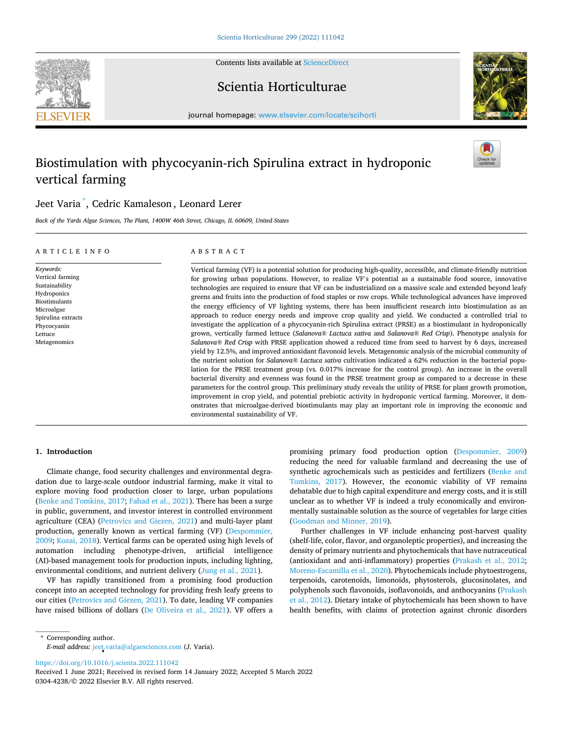Contents lists available at [ScienceDirect](www.sciencedirect.com/science/journal/03044238)





Scientia Horticulturae

journal homepage: [www.elsevier.com/locate/scihorti](https://www.elsevier.com/locate/scihorti)

# Biostimulation with phycocyanin-rich Spirulina extract in hydroponic vertical farming

# Jeet Varia \* , Cedric Kamaleson , Leonard Lerer

*Back of the Yards Algae Sciences, The Plant, 1400W 46th Street, Chicago, IL 60609, United States* 

# ARTICLE INFO

#### ABSTRACT

*Keywords:*  Vertical farming Sustainability Hydroponics Biostimulants Microalgae Spirulina extracts Phycocyanin Lettuce Metagenomics

Vertical farming (VF) is a potential solution for producing high-quality, accessible, and climate-friendly nutrition for growing urban populations. However, to realize VF's potential as a sustainable food source, innovative technologies are required to ensure that VF can be industrialized on a massive scale and extended beyond leafy greens and fruits into the production of food staples or row crops. While technological advances have improved the energy efficiency of VF lighting systems, there has been insufficient research into biostimulation as an approach to reduce energy needs and improve crop quality and yield. We conducted a controlled trial to investigate the application of a phycocyanin-rich Spirulina extract (PRSE) as a biostimulant in hydroponically grown, vertically farmed lettuce (*Salanova® Lactuca sativa* and *Salanova® Red Crisp*). Phenotype analysis for *Salanova® Red Crisp* with PRSE application showed a reduced time from seed to harvest by 6 days, increased yield by 12.5%, and improved antioxidant flavonoid levels. Metagenomic analysis of the microbial community of the nutrient solution for *Salanova® Lactuca sativa* cultivation indicated a 62% reduction in the bacterial population for the PRSE treatment group (vs*.* 0.017% increase for the control group). An increase in the overall bacterial diversity and evenness was found in the PRSE treatment group as compared to a decrease in these parameters for the control group. This preliminary study reveals the utility of PRSE for plant growth promotion, improvement in crop yield, and potential prebiotic activity in hydroponic vertical farming. Moreover, it demonstrates that microalgae-derived biostimulants may play an important role in improving the economic and environmental sustainability of VF.

# **1. Introduction**

Climate change, food security challenges and environmental degradation due to large-scale outdoor industrial farming, make it vital to explore moving food production closer to large, urban populations ([Benke and Tomkins, 2017](#page-5-0); [Fahad et al., 2021](#page-5-0)). There has been a surge in public, government, and investor interest in controlled environment agriculture (CEA) ([Petrovics and Giezen, 2021\)](#page-5-0) and multi-layer plant production, generally known as vertical farming (VF) [\(Despommier,](#page-5-0)  [2009; Kozai, 2018](#page-5-0)). Vertical farms can be operated using high levels of automation including phenotype-driven, artificial intelligence (AI)-based management tools for production inputs, including lighting, environmental conditions, and nutrient delivery ([Jung et al., 2021\)](#page-5-0).

VF has rapidly transitioned from a promising food production concept into an accepted technology for providing fresh leafy greens to our cities ([Petrovics and Giezen, 2021](#page-5-0)). To date, leading VF companies have raised billions of dollars ([De Oliveira et al., 2021\)](#page-5-0). VF offers a promising primary food production option [\(Despommier, 2009\)](#page-5-0) reducing the need for valuable farmland and decreasing the use of synthetic agrochemicals such as pesticides and fertilizers ([Benke and](#page-5-0)  [Tomkins, 2017](#page-5-0)). However, the economic viability of VF remains debatable due to high capital expenditure and energy costs, and it is still unclear as to whether VF is indeed a truly economically and environmentally sustainable solution as the source of vegetables for large cities ([Goodman and Minner, 2019\)](#page-5-0).

Further challenges in VF include enhancing post-harvest quality (shelf-life, color, flavor, and organoleptic properties), and increasing the density of primary nutrients and phytochemicals that have nutraceutical (antioxidant and anti-inflammatory) properties [\(Prakash et al., 2012](#page-5-0); [Moreno-Escamilla et al., 2020\)](#page-5-0). Phytochemicals include phytoestrogens, terpenoids, carotenoids, limonoids, phytosterols, glucosinolates, and polyphenols such flavonoids, isoflavonoids, and anthocyanins ([Prakash](#page-5-0)  [et al., 2012\)](#page-5-0). Dietary intake of phytochemicals has been shown to have health benefits, with claims of protection against chronic disorders

\* Corresponding author. *E-mail address:* [jeet.varia@algaesciences.com](mailto:jeet.varia@algaesciences.com) (J. Varia).

<https://doi.org/10.1016/j.scienta.2022.111042>

0304-4238/© 2022 Elsevier B.V. All rights reserved. Received 1 June 2021; Received in revised form 14 January 2022; Accepted 5 March 2022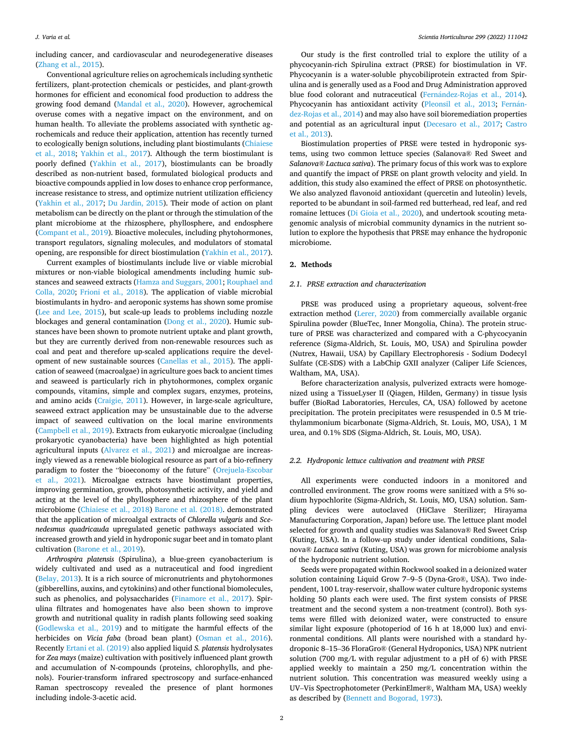including cancer, and cardiovascular and neurodegenerative diseases ([Zhang et al., 2015](#page-6-0)).

Conventional agriculture relies on agrochemicals including synthetic fertilizers, plant-protection chemicals or pesticides, and plant-growth hormones for efficient and economical food production to address the growing food demand ([Mandal et al., 2020\)](#page-5-0). However, agrochemical overuse comes with a negative impact on the environment, and on human health. To alleviate the problems associated with synthetic agrochemicals and reduce their application, attention has recently turned to ecologically benign solutions, including plant biostimulants [\(Chiaiese](#page-5-0)  [et al., 2018;](#page-5-0) [Yakhin et al., 2017\)](#page-6-0). Although the term biostimulant is poorly defined [\(Yakhin et al., 2017](#page-6-0)), biostimulants can be broadly described as non-nutrient based, formulated biological products and bioactive compounds applied in low doses to enhance crop performance, increase resistance to stress, and optimize nutrient utilization efficiency ([Yakhin et al., 2017](#page-6-0); [Du Jardin, 2015\)](#page-5-0). Their mode of action on plant metabolism can be directly on the plant or through the stimulation of the plant microbiome at the rhizosphere, phyllosphere, and endosphere ([Compant et al., 2019](#page-5-0)). Bioactive molecules, including phytohormones, transport regulators, signaling molecules, and modulators of stomatal opening, are responsible for direct biostimulation ([Yakhin et al., 2017](#page-6-0)).

Current examples of biostimulants include live or viable microbial mixtures or non-viable biological amendments including humic substances and seaweed extracts [\(Hamza and Suggars, 2001;](#page-5-0) [Rouphael and](#page-6-0)  [Colla, 2020](#page-6-0); [Frioni et al., 2018\)](#page-5-0). The application of viable microbial biostimulants in hydro- and aeroponic systems has shown some promise ([Lee and Lee, 2015](#page-5-0)), but scale-up leads to problems including nozzle blockages and general contamination ([Dong et al., 2020\)](#page-5-0). Humic substances have been shown to promote nutrient uptake and plant growth, but they are currently derived from non-renewable resources such as coal and peat and therefore up-scaled applications require the development of new sustainable sources ([Canellas et al., 2015\)](#page-5-0). The application of seaweed (macroalgae) in agriculture goes back to ancient times and seaweed is particularly rich in phytohormones, complex organic compounds, vitamins, simple and complex sugars, enzymes, proteins, and amino acids [\(Craigie, 2011\)](#page-5-0). However, in large-scale agriculture, seaweed extract application may be unsustainable due to the adverse impact of seaweed cultivation on the local marine environments ([Campbell et al., 2019\)](#page-5-0). Extracts from eukaryotic microalgae (including prokaryotic cyanobacteria) have been highlighted as high potential agricultural inputs [\(Alvarez et al., 2021](#page-5-0)) and microalgae are increasingly viewed as a renewable biological resource as part of a bio-refinery paradigm to foster the "bioeconomy of the future" ([Orejuela-Escobar](#page-5-0)  [et al., 2021\)](#page-5-0). Microalgae extracts have biostimulant properties, improving germination, growth, photosynthetic activity, and yield and acting at the level of the phyllosphere and rhizosphere of the plant microbiome [\(Chiaiese et al., 2018](#page-5-0)) [Barone et al. \(2018\).](#page-5-0) demonstrated that the application of microalgal extracts of *Chlorella vulgaris* and *Scenedesmus quadricauda* upregulated genetic pathways associated with increased growth and yield in hydroponic sugar beet and in tomato plant cultivation [\(Barone et al., 2019](#page-5-0)).

*Arthrospira platensis* (Spirulina), a blue-green cyanobacterium is widely cultivated and used as a nutraceutical and food ingredient ([Belay, 2013\)](#page-5-0). It is a rich source of micronutrients and phytohormones (gibberellins, auxins, and cytokinins) and other functional biomolecules, such as phenolics, and polysaccharides ([Finamore et al., 2017](#page-5-0)). Spirulina filtrates and homogenates have also been shown to improve growth and nutritional quality in radish plants following seed soaking ([Godlewska et al., 2019\)](#page-5-0) and to mitigate the harmful effects of the herbicides on *Vicia faba* (broad bean plant) [\(Osman et al., 2016](#page-5-0)). Recently [Ertani et al. \(2019\)](#page-5-0) also applied liquid *S. platensis* hydrolysates for *Zea mays* (maize) cultivation with positively influenced plant growth and accumulation of N-compounds (proteins, chlorophylls, and phenols). Fourier-transform infrared spectroscopy and surface-enhanced Raman spectroscopy revealed the presence of plant hormones including indole-3-acetic acid.

Our study is the first controlled trial to explore the utility of a phycocyanin-rich Spirulina extract (PRSE) for biostimulation in VF. Phycocyanin is a water-soluble phycobiliprotein extracted from Spirulina and is generally used as a Food and Drug Administration approved blue food colorant and nutraceutical (Fernández-Rojas et al., 2014). Phycocyanin has antioxidant activity [\(Pleonsil et al., 2013](#page-5-0); Fernán[dez-Rojas et al., 2014](#page-5-0)) and may also have soil bioremediation properties and potential as an agricultural input [\(Decesaro et al., 2017](#page-5-0); [Castro](#page-5-0)  [et al., 2013\)](#page-5-0).

Biostimulation properties of PRSE were tested in hydroponic systems, using two common lettuce species (Salanova® Red Sweet and *Salanova® Lactuca sativa*). The primary focus of this work was to explore and quantify the impact of PRSE on plant growth velocity and yield. In addition, this study also examined the effect of PRSE on photosynthetic. We also analyzed flavonoid antioxidant (quercetin and luteolin) levels, reported to be abundant in soil-farmed red butterhead, red leaf, and red romaine lettuces ([Di Gioia et al., 2020](#page-5-0)), and undertook scouting metagenomic analysis of microbial community dynamics in the nutrient solution to explore the hypothesis that PRSE may enhance the hydroponic microbiome.

#### **2. Methods**

#### *2.1. PRSE extraction and characterization*

PRSE was produced using a proprietary aqueous, solvent-free extraction method [\(Lerer, 2020\)](#page-5-0) from commercially available organic Spirulina powder (BlueTec, Inner Mongolia, China). The protein structure of PRSE was characterized and compared with a C-phycocyanin reference (Sigma-Aldrich, St. Louis, MO, USA) and Spirulina powder (Nutrex, Hawaii, USA) by Capillary Electrophoresis - Sodium Dodecyl Sulfate (CE-SDS) with a LabChip GXII analyzer (Caliper Life Sciences, Waltham, MA, USA).

Before characterization analysis, pulverized extracts were homogenized using a TissueLyser II (Qiagen, Hilden, Germany) in tissue lysis buffer (BioRad Laboratories, Hercules, CA, USA) followed by acetone precipitation. The protein precipitates were resuspended in 0.5 M triethylammonium bicarbonate (Sigma-Aldrich, St. Louis, MO, USA), 1 M urea, and 0.1% SDS (Sigma-Aldrich, St. Louis, MO, USA).

#### *2.2. Hydroponic lettuce cultivation and treatment with PRSE*

All experiments were conducted indoors in a monitored and controlled environment. The grow rooms were sanitized with a 5% sodium hypochlorite (Sigma-Aldrich, St. Louis, MO, USA) solution. Sampling devices were autoclaved (HiClave Sterilizer; Hirayama Manufacturing Corporation, Japan) before use. The lettuce plant model selected for growth and quality studies was Salanova® Red Sweet Crisp (Kuting, USA). In a follow-up study under identical conditions, Salanova® *Lactuca* s*ativa* (Kuting, USA) was grown for microbiome analysis of the hydroponic nutrient solution.

Seeds were propagated within Rockwool soaked in a deionized water solution containing Liquid Grow 7–9–5 (Dyna-Gro®, USA). Two independent, 100 L tray-reservoir, shallow water culture hydroponic systems holding 50 plants each were used. The first system consists of PRSE treatment and the second system a non-treatment (control). Both systems were filled with deionized water, were constructed to ensure similar light exposure (photoperiod of 16 h at 18,000 lux) and environmental conditions. All plants were nourished with a standard hydroponic 8–15–36 FloraGro® (General Hydroponics, USA) NPK nutrient solution (700 mg/L with regular adjustment to a pH of 6) with PRSE applied weekly to maintain a 250 mg/L concentration within the nutrient solution. This concentration was measured weekly using a UV–Vis Spectrophotometer (PerkinElmer®, Waltham MA, USA) weekly as described by [\(Bennett and Bogorad, 1973](#page-5-0)).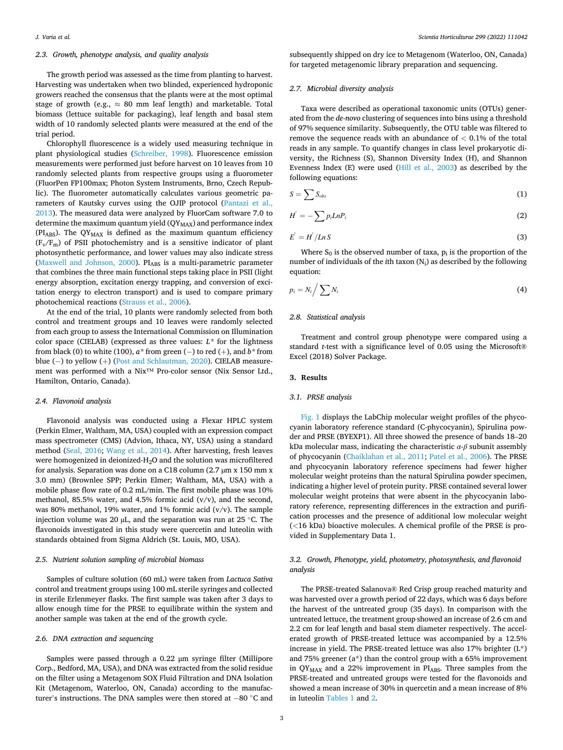# *2.3. Growth, phenotype analysis, and quality analysis*

The growth period was assessed as the time from planting to harvest. Harvesting was undertaken when two blinded, experienced hydroponic growers reached the consensus that the plants were at the most optimal stage of growth (e.g.,  $\approx 80$  mm leaf length) and marketable. Total biomass (lettuce suitable for packaging), leaf length and basal stem width of 10 randomly selected plants were measured at the end of the trial period.

Chlorophyll fluorescence is a widely used measuring technique in plant physiological studies ([Schreiber, 1998](#page-6-0)). Fluorescence emission measurements were performed just before harvest on 10 leaves from 10 randomly selected plants from respective groups using a fluorometer (FluorPen FP100max; Photon System Instruments, Brno, Czech Republic). The fluorometer automatically calculates various geometric parameters of Kautsky curves using the OJIP protocol [\(Pantazi et al.,](#page-5-0)  [2013\)](#page-5-0). The measured data were analyzed by FluorCam software 7.0 to determine the maximum quantum yield  $(QY_{MAX})$  and performance index ( $PI<sub>ABS</sub>$ ). The  $QY<sub>MAX</sub>$  is defined as the maximum quantum efficiency  $(F_v/F_m)$  of PSII photochemistry and is a sensitive indicator of plant photosynthetic performance, and lower values may also indicate stress ([Maxwell and Johnson, 2000](#page-5-0)). PIABS is a multi-parametric parameter that combines the three main functional steps taking place in PSII (light energy absorption, excitation energy trapping, and conversion of excitation energy to electron transport) and is used to compare primary photochemical reactions [\(Strauss et al., 2006\)](#page-6-0).

At the end of the trial, 10 plants were randomly selected from both control and treatment groups and 10 leaves were randomly selected from each group to assess the International Commission on Illumination color space (CIELAB) (expressed as three values:  $L^*$  for the lightness from black (0) to white (100), *a\** from green (− ) to red (+), and *b\** from blue (− ) to yellow (+) ([Post and Schlautman, 2020\)](#page-5-0). CIELAB measurement was performed with a Nix™ Pro-color sensor (Nix Sensor Ltd., Hamilton, Ontario, Canada).

#### *2.4. Flavonoid analysis*

Flavonoid analysis was conducted using a Flexar HPLC system (Perkin Elmer, Waltham, MA, USA) coupled with an expression compact mass spectrometer (CMS) (Advion, Ithaca, NY, USA) using a standard method [\(Seal, 2016;](#page-6-0) [Wang et al., 2014\)](#page-6-0). After harvesting, fresh leaves were homogenized in deionized-H2O and the solution was microfiltered for analysis. Separation was done on a C18 column (2.7  $\mu$ m x 150 mm x 3.0 mm) (Brownlee SPP; Perkin Elmer; Waltham, MA, USA) with a mobile phase flow rate of 0.2 mL/min. The first mobile phase was 10% methanol, 85.5% water, and 4.5% formic acid (v/v), and the second, was 80% methanol, 19% water, and 1% formic acid (v/v). The sample injection volume was 20  $\mu$ L, and the separation was run at 25 °C. The flavonoids investigated in this study were quercetin and luteolin with standards obtained from Sigma Aldrich (St. Louis, MO, USA).

# *2.5. Nutrient solution sampling of microbial biomass*

Samples of culture solution (60 mL) were taken from *Lactuca Sativa*  control and treatment groups using 100 mL sterile syringes and collected in sterile Erlenmeyer flasks. The first sample was taken after 3 days to allow enough time for the PRSE to equilibrate within the system and another sample was taken at the end of the growth cycle.

#### *2.6. DNA extraction and sequencing*

Samples were passed through a 0.22 μm syringe filter (Millipore Corp., Bedford, MA, USA), and DNA was extracted from the solid residue on the filter using a Metagenom SOX Fluid Filtration and DNA Isolation Kit (Metagenom, Waterloo, ON, Canada) according to the manufacturer's instructions. The DNA samples were then stored at − 80 ◦C and

subsequently shipped on dry ice to Metagenom (Waterloo, ON, Canada) for targeted metagenomic library preparation and sequencing.

#### *2.7. Microbial diversity analysis*

Taxa were described as operational taxonomic units (OTUs) generated from the *de-novo* clustering of sequences into bins using a threshold of 97% sequence similarity. Subsequently, the OTU table was filtered to remove the sequence reads with an abundance of *<* 0.1% of the total reads in any sample. To quantify changes in class level prokaryotic diversity, the Richness (S), Shannon Diversity Index (H), and Shannon Evenness Index (E) were used ([Hill et al., 2003\)](#page-5-0) as described by the following equations:

$$
S = \sum S_{obs} \tag{1}
$$

$$
H^{'} = -\sum p_i L n P_i \tag{2}
$$

$$
E^{'} = H^{'} / L n S \tag{3}
$$

Where  $S_0$  is the observed number of taxa,  $p_i$  is the proportion of the number of individuals of the *i*th taxon (N<sub>i</sub>) as described by the following equation:

$$
p_i = N_i / \sum N_i \tag{4}
$$

# *2.8. Statistical analysis*

Treatment and control group phenotype were compared using a standard *t*-test with a significance level of 0.05 using the Microsoft® Excel (2018) Solver Package.

#### **3. Results**

#### *3.1. PRSE analysis*

[Fig. 1](#page-3-0) displays the LabChip molecular weight profiles of the phycocyanin laboratory reference standard (C-phycocyanin), Spirulina powder and PRSE (BYEXP1). All three showed the presence of bands 18–20 kDa molecular mass, indicating the characteristic  $\alpha$ - $\beta$  subunit assembly of phycocyanin ([Chaiklahan et al., 2011; Patel et al., 2006](#page-5-0)). The PRSE and phycocyanin laboratory reference specimens had fewer higher molecular weight proteins than the natural Spirulina powder specimen, indicating a higher level of protein purity. PRSE contained several lower molecular weight proteins that were absent in the phycocyanin laboratory reference, representing differences in the extraction and purification processes and the presence of additional low molecular weight (*<*16 kDa) bioactive molecules. A chemical profile of the PRSE is provided in Supplementary Data 1.

# *3.2. Growth, Phenotype, yield, photometry, photosynthesis, and flavonoid analysis*

The PRSE-treated Salanova® Red Crisp group reached maturity and was harvested over a growth period of 22 days, which was 6 days before the harvest of the untreated group (35 days). In comparison with the untreated lettuce, the treatment group showed an increase of 2.6 cm and 2.2 cm for leaf length and basal stem diameter respectively. The accelerated growth of PRSE-treated lettuce was accompanied by a 12.5% increase in yield. The PRSE-treated lettuce was also 17% brighter (L\*) and 75% greener (a\*) than the control group with a 65% improvement in QY<sub>MAX</sub> and a 22% improvement in PIABS. Three samples from the PRSE-treated and untreated groups were tested for the flavonoids and showed a mean increase of 30% in quercetin and a mean increase of 8% in luteolin [Tables 1](#page-3-0) and [2](#page-3-0).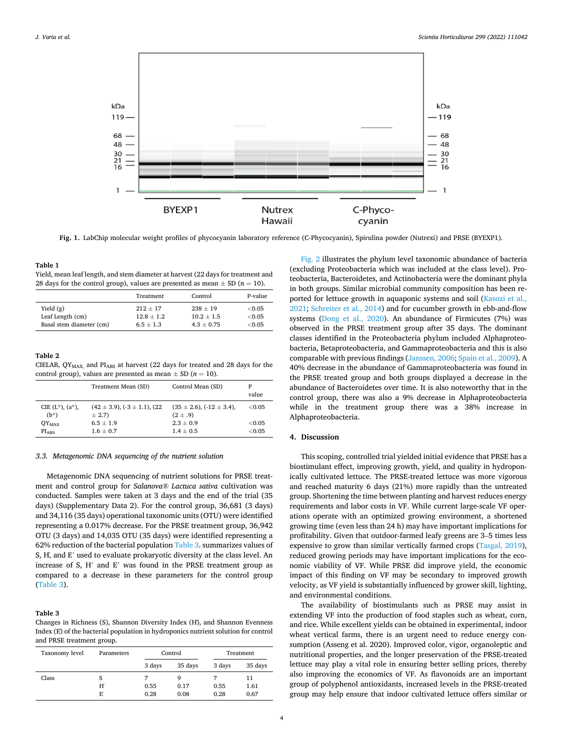<span id="page-3-0"></span>

**Fig. 1.** LabChip molecular weight profiles of phycocyanin laboratory reference (C-Phycocyanin), Spirulina powder (Nutrexi) and PRSE (BYEXP1).

## **Table 1**

Yield, mean leaf length, and stem diameter at harvest (22 days for treatment and 28 days for the control group), values are presented as mean  $\pm$  SD ( $n = 10$ ).

|                          | Treatment     | Control      | P-value |
|--------------------------|---------------|--------------|---------|
| Yield $(g)$              | $212 + 17$    | $238 + 19$   | < 0.05  |
| Leaf Length (cm)         | $12.8 + 1.2$  | $10.2 + 1.5$ | < 0.05  |
| Basal stem diameter (cm) | $6.5 \pm 1.3$ | $4.3 + 0.75$ | < 0.05  |

#### **Table 2**

CIELAB,  $QY_{MAX}$  and  $PI_{ABS}$  at harvest (22 days for treated and 28 days for the control group), values are presented as mean  $\pm$  SD ( $n = 10$ ).

|                         | Treatment Mean (SD)               | Control Mean (SD)              | P<br>value |
|-------------------------|-----------------------------------|--------------------------------|------------|
| CIE $(L^*)$ , $(a^*)$ , | $(42 \pm 3.9), (3 \pm 1.1), (22)$ | $(35 \pm 2.6), (-12 \pm 3.4),$ | ${<}0.05$  |
| $(b*)$                  | $\pm$ 2.7)                        | $(2 \pm .9)$                   |            |
| $QY_{MAX}$              | $6.5 \pm 1.9$                     | $2.3 \pm 0.9$                  | < 0.05     |
| <b>PIARS</b>            | $1.6 \pm 0.7$                     | $1.4 \pm 0.5$                  | < 0.05     |

#### *3.3. Metagenomic DNA sequencing of the nutrient solution*

Metagenomic DNA sequencing of nutrient solutions for PRSE treatment and control group for *Salanova® Lactuca sativa* cultivation was conducted. Samples were taken at 3 days and the end of the trial (35 days) (Supplementary Data 2). For the control group, 36,681 (3 days) and 34,116 (35 days) operational taxonomic units (OTU) were identified representing a 0.017% decrease. For the PRSE treatment group, 36,942 OTU (3 days) and 14,035 OTU (35 days) were identified representing a 62% reduction of the bacterial population Table 3. summarizes values of S, H´, and E' used to evaluate prokaryotic diversity at the class level. An increase of S, H' and E' was found in the PRSE treatment group as compared to a decrease in these parameters for the control group (Table 3).

# **Table 3**

Changes in Richness (S), Shannon Diversity Index (H), and Shannon Evenness Index (E´) of the bacterial population in hydroponics nutrient solution for control and PRSE treatment group.

| Taxonomy level | Parameters | Control |         | Treatment |         |
|----------------|------------|---------|---------|-----------|---------|
|                |            | 3 days  | 35 days | 3 days    | 35 days |
| Class          | S          |         |         |           | 11      |
|                | H          | 0.55    | 0.17    | 0.55      | 1.61    |
|                | Е          | 0.28    | 0.08    | 0.28      | 0.67    |

[Fig. 2](#page-4-0) illustrates the phylum level taxonomic abundance of bacteria (excluding Proteobacteria which was included at the class level). Proteobacteria, Bacteroidetes, and Actinobacteria were the dominant phyla in both groups. Similar microbial community composition has been reported for lettuce growth in aquaponic systems and soil (Kasozi et al., [2021;](#page-5-0) [Schreiter et al., 2014\)](#page-6-0) and for cucumber growth in ebb-and-flow systems ([Dong et al., 2020](#page-5-0)). An abundance of Firmicutes (7%) was observed in the PRSE treatment group after 35 days. The dominant classes identified in the Proteobacteria phylum included Alphaproteobacteria, Betaproteobacteria, and Gammaproteobacteria and this is also comparable with previous findings [\(Janssen, 2006](#page-5-0); [Spain et al., 2009](#page-6-0)). A 40% decrease in the abundance of Gammaproteobacteria was found in the PRSE treated group and both groups displayed a decrease in the abundance of Bacteroidetes over time. It is also noteworthy that in the control group, there was also a 9% decrease in Alphaproteobacteria while in the treatment group there was a 38% increase in Alphaproteobacteria.

#### **4. Discussion**

This scoping, controlled trial yielded initial evidence that PRSE has a biostimulant effect, improving growth, yield, and quality in hydroponically cultivated lettuce. The PRSE-treated lettuce was more vigorous and reached maturity 6 days (21%) more rapidly than the untreated group. Shortening the time between planting and harvest reduces energy requirements and labor costs in VF. While current large-scale VF operations operate with an optimized growing environment, a shortened growing time (even less than 24 h) may have important implications for profitability. Given that outdoor-farmed leafy greens are 3–5 times less expensive to grow than similar vertically farmed crops [\(Tasgal, 2019](#page-6-0)), reduced growing periods may have important implications for the economic viability of VF. While PRSE did improve yield, the economic impact of this finding on VF may be secondary to improved growth velocity, as VF yield is substantially influenced by grower skill, lighting, and environmental conditions.

The availability of biostimulants such as PRSE may assist in extending VF into the production of food staples such as wheat, corn, and rice. While excellent yields can be obtained in experimental, indoor wheat vertical farms, there is an urgent need to reduce energy consumption (Asseng et al. 2020). Improved color, vigor, organoleptic and nutritional properties, and the longer preservation of the PRSE-treated lettuce may play a vital role in ensuring better selling prices, thereby also improving the economics of VF. As flavonoids are an important group of polyphenol antioxidants, increased levels in the PRSE-treated group may help ensure that indoor cultivated lettuce offers similar or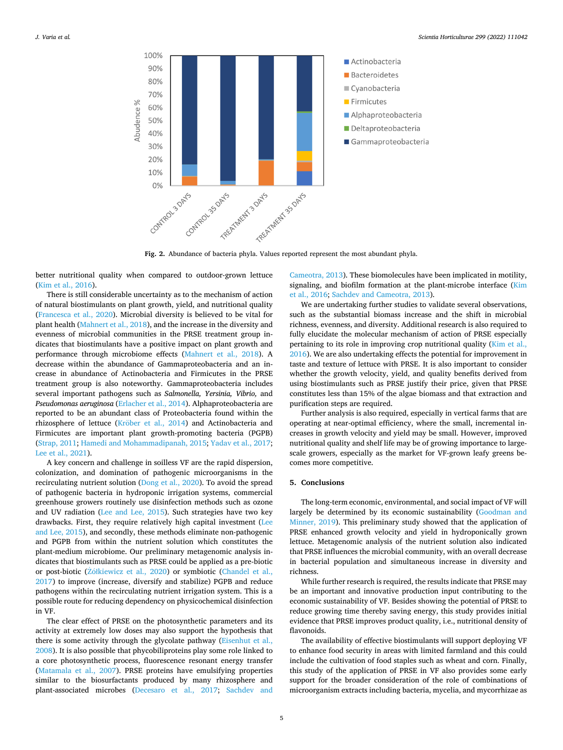<span id="page-4-0"></span>

**Fig. 2.** Abundance of bacteria phyla. Values reported represent the most abundant phyla.

better nutritional quality when compared to outdoor-grown lettuce ([Kim et al., 2016\)](#page-5-0).

There is still considerable uncertainty as to the mechanism of action of natural biostimulants on plant growth, yield, and nutritional quality ([Francesca et al., 2020](#page-5-0)). Microbial diversity is believed to be vital for plant health ([Mahnert et al., 2018\)](#page-5-0), and the increase in the diversity and evenness of microbial communities in the PRSE treatment group indicates that biostimulants have a positive impact on plant growth and performance through microbiome effects [\(Mahnert et al., 2018\)](#page-5-0). A decrease within the abundance of Gammaproteobacteria and an increase in abundance of Actinobacteria and Firmicutes in the PRSE treatment group is also noteworthy. Gammaproteobacteria includes several important pathogens such as *Salmonella, Yersinia, Vibrio,* and *Pseudomonas aeruginosa* [\(Erlacher et al., 2014](#page-5-0)). Alphaproteobacteria are reported to be an abundant class of Proteobacteria found within the rhizosphere of lettuce (Kröber [et al., 2014](#page-5-0)) and Actinobacteria and Firmicutes are important plant growth-promoting bacteria (PGPB) ([Strap, 2011](#page-6-0); [Hamedi and Mohammadipanah, 2015;](#page-5-0) [Yadav et al., 2017](#page-6-0); [Lee et al., 2021](#page-5-0)).

A key concern and challenge in soilless VF are the rapid dispersion, colonization, and domination of pathogenic microorganisms in the recirculating nutrient solution [\(Dong et al., 2020\)](#page-5-0). To avoid the spread of pathogenic bacteria in hydroponic irrigation systems, commercial greenhouse growers routinely use disinfection methods such as ozone and UV radiation ([Lee and Lee, 2015](#page-5-0)). Such strategies have two key drawbacks. First, they require relatively high capital investment ([Lee](#page-5-0)  [and Lee, 2015\)](#page-5-0), and secondly, these methods eliminate non-pathogenic and PGPB from within the nutrient solution which constitutes the plant-medium microbiome. Our preliminary metagenomic analysis indicates that biostimulants such as PRSE could be applied as a pre-biotic or post-biotic (Zół[kiewicz et al., 2020\)](#page-6-0) or symbiotic (Chandel et al., [2017\)](#page-5-0) to improve (increase, diversify and stabilize) PGPB and reduce pathogens within the recirculating nutrient irrigation system. This is a possible route for reducing dependency on physicochemical disinfection in VF.

The clear effect of PRSE on the photosynthetic parameters and its activity at extremely low doses may also support the hypothesis that there is some activity through the glycolate pathway ([Eisenhut et al.,](#page-5-0)  [2008\)](#page-5-0). It is also possible that phycobiliproteins play some role linked to a core photosynthetic process, fluorescence resonant energy transfer ([Matamala et al., 2007\)](#page-5-0). PRSE proteins have emulsifying properties similar to the biosurfactants produced by many rhizosphere and plant-associated microbes ([Decesaro et al., 2017;](#page-5-0) [Sachdev and](#page-6-0) 

[Cameotra, 2013\)](#page-6-0). These biomolecules have been implicated in motility, signaling, and biofilm formation at the plant-microbe interface (Kim [et al., 2016;](#page-5-0) [Sachdev and Cameotra, 2013\)](#page-6-0).

We are undertaking further studies to validate several observations, such as the substantial biomass increase and the shift in microbial richness, evenness, and diversity. Additional research is also required to fully elucidate the molecular mechanism of action of PRSE especially pertaining to its role in improving crop nutritional quality [\(Kim et al.,](#page-5-0)  [2016\)](#page-5-0). We are also undertaking effects the potential for improvement in taste and texture of lettuce with PRSE. It is also important to consider whether the growth velocity, yield, and quality benefits derived from using biostimulants such as PRSE justify their price, given that PRSE constitutes less than 15% of the algae biomass and that extraction and purification steps are required.

Further analysis is also required, especially in vertical farms that are operating at near-optimal efficiency, where the small, incremental increases in growth velocity and yield may be small. However, improved nutritional quality and shelf life may be of growing importance to largescale growers, especially as the market for VF-grown leafy greens becomes more competitive.

# **5. Conclusions**

The long-term economic, environmental, and social impact of VF will largely be determined by its economic sustainability ([Goodman and](#page-5-0)  [Minner, 2019](#page-5-0)). This preliminary study showed that the application of PRSE enhanced growth velocity and yield in hydroponically grown lettuce. Metagenomic analysis of the nutrient solution also indicated that PRSE influences the microbial community, with an overall decrease in bacterial population and simultaneous increase in diversity and richness.

While further research is required, the results indicate that PRSE may be an important and innovative production input contributing to the economic sustainability of VF. Besides showing the potential of PRSE to reduce growing time thereby saving energy, this study provides initial evidence that PRSE improves product quality, i.e., nutritional density of flavonoids.

The availability of effective biostimulants will support deploying VF to enhance food security in areas with limited farmland and this could include the cultivation of food staples such as wheat and corn. Finally, this study of the application of PRSE in VF also provides some early support for the broader consideration of the role of combinations of microorganism extracts including bacteria, mycelia, and mycorrhizae as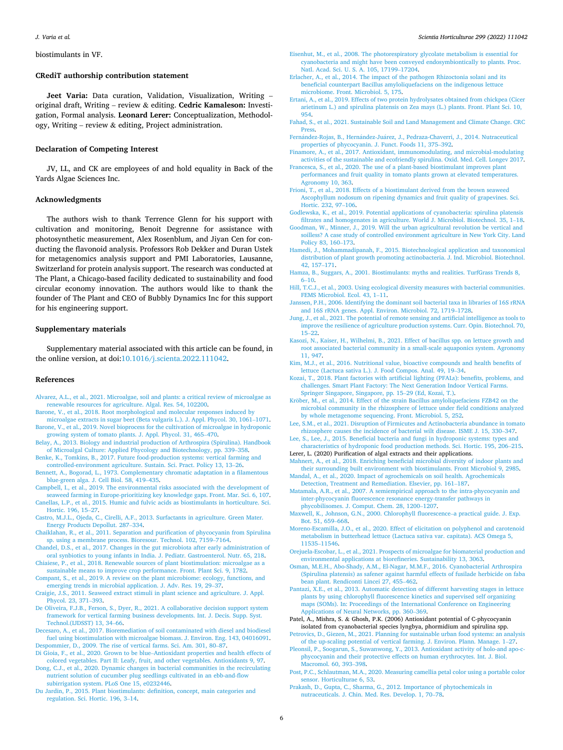<span id="page-5-0"></span>biostimulants in VF.

#### **CRediT authorship contribution statement**

**Jeet Varia:** Data curation, Validation, Visualization, Writing – original draft, Writing – review & editing. **Cedric Kamaleson:** Investigation, Formal analysis. **Leonard Lerer:** Conceptualization, Methodology, Writing – review & editing, Project administration.

#### **Declaration of Competing Interest**

JV, LL, and CK are employees of and hold equality in Back of the Yards Algae Sciences Inc.

#### **Acknowledgments**

The authors wish to thank Terrence Glenn for his support with cultivation and monitoring, Benoit Degrenne for assistance with photosynthetic measurement, Alex Rosenblum, and Jiyan Cen for conducting the flavonoid analysis. Professors Rob Dekker and Duran Ustek for metagenomics analysis support and PMI Laboratories, Lausanne, Switzerland for protein analysis support. The research was conducted at The Plant, a Chicago-based facility dedicated to sustainability and food circular economy innovation. The authors would like to thank the founder of The Plant and CEO of Bubbly Dynamics Inc for this support for his engineering support.

#### **Supplementary materials**

Supplementary material associated with this article can be found, in the online version, at doi:[10.1016/j.scienta.2022.111042](https://doi.org/10.1016/j.scienta.2022.111042).

#### **References**

- [Alvarez, A.L., et al., 2021. Microalgae, soil and plants: a critical review of microalgae as](http://refhub.elsevier.com/S0304-4238(22)00167-4/sbref0001)  [renewable resources for agriculture. Algal. Res. 54, 102200](http://refhub.elsevier.com/S0304-4238(22)00167-4/sbref0001).
- [Barone, V., et al., 2018. Root morphological and molecular responses induced by](http://refhub.elsevier.com/S0304-4238(22)00167-4/sbref0002)  [microalgae extracts in sugar beet \(Beta vulgaris L.\). J. Appl. Phycol. 30, 1061](http://refhub.elsevier.com/S0304-4238(22)00167-4/sbref0002)–1071.
- [Barone, V., et al., 2019. Novel bioprocess for the cultivation of microalgae in hydroponic](http://refhub.elsevier.com/S0304-4238(22)00167-4/sbref0003)  [growing system of tomato plants. J. Appl. Phycol. 31, 465](http://refhub.elsevier.com/S0304-4238(22)00167-4/sbref0003)–470.
- [Belay, A., 2013. Biology and industrial production of Arthrospira \(Spirulina\). Handbook](http://refhub.elsevier.com/S0304-4238(22)00167-4/sbref0004)  [of Microalgal Culture: Applied Phycology and Biotechnology, pp. 339](http://refhub.elsevier.com/S0304-4238(22)00167-4/sbref0004)–358.
- [Benke, K., Tomkins, B., 2017. Future food-production systems: vertical farming and](http://refhub.elsevier.com/S0304-4238(22)00167-4/sbref0005) [controlled-environment agriculture. Sustain. Sci. Pract. Policy 13, 13](http://refhub.elsevier.com/S0304-4238(22)00167-4/sbref0005)–26.
- [Bennett, A., Bogorad, L., 1973. Complementary chromatic adaptation in a filamentous](http://refhub.elsevier.com/S0304-4238(22)00167-4/sbref0006)  [blue-green alga. J. Cell Biol. 58, 419](http://refhub.elsevier.com/S0304-4238(22)00167-4/sbref0006)–435.
- [Campbell, I., et al., 2019. The environmental risks associated with the development of](http://refhub.elsevier.com/S0304-4238(22)00167-4/sbref0007)  [seaweed farming in Europe-prioritizing key knowledge gaps. Front. Mar. Sci. 6, 107.](http://refhub.elsevier.com/S0304-4238(22)00167-4/sbref0007)
- [Canellas, L.P., et al., 2015. Humic and fulvic acids as biostimulants in horticulture. Sci.](http://refhub.elsevier.com/S0304-4238(22)00167-4/sbref0008)  [Hortic. 196, 15](http://refhub.elsevier.com/S0304-4238(22)00167-4/sbref0008)–27.
- [Castro, M.J.L., Ojeda, C., Cirelli, A.F., 2013. Surfactants in agriculture. Green Mater.](http://refhub.elsevier.com/S0304-4238(22)00167-4/sbref0009)  [Energy Products Depollut. 287](http://refhub.elsevier.com/S0304-4238(22)00167-4/sbref0009)–334.
- [Chaiklahan, R., et al., 2011. Separation and purification of phycocyanin from Spirulina](http://refhub.elsevier.com/S0304-4238(22)00167-4/sbref0010)  [sp. using a membrane process. Bioresour. Technol. 102, 7159](http://refhub.elsevier.com/S0304-4238(22)00167-4/sbref0010)–7164.
- [Chandel, D.S., et al., 2017. Changes in the gut microbiota after early administration of](http://refhub.elsevier.com/S0304-4238(22)00167-4/sbref0011) [oral synbiotics to young infants in India. J. Pediatr. Gastroenterol. Nutr. 65, 218.](http://refhub.elsevier.com/S0304-4238(22)00167-4/sbref0011)
- [Chiaiese, P., et al., 2018. Renewable sources of plant biostimulation: microalgae as a](http://refhub.elsevier.com/S0304-4238(22)00167-4/sbref0012) [sustainable means to improve crop performance. Front. Plant Sci. 9, 1782](http://refhub.elsevier.com/S0304-4238(22)00167-4/sbref0012).
- [Compant, S., et al., 2019. A review on the plant microbiome: ecology, functions, and](http://refhub.elsevier.com/S0304-4238(22)00167-4/sbref0013)  [emerging trends in microbial application. J. Adv. Res. 19, 29](http://refhub.elsevier.com/S0304-4238(22)00167-4/sbref0013)–37.
- [Craigie, J.S., 2011. Seaweed extract stimuli in plant science and agriculture. J. Appl.](http://refhub.elsevier.com/S0304-4238(22)00167-4/sbref0014)  [Phycol. 23, 371](http://refhub.elsevier.com/S0304-4238(22)00167-4/sbref0014)–393.
- [De Oliveira, F.J.B., Ferson, S., Dyer, R., 2021. A collaborative decision support system](http://refhub.elsevier.com/S0304-4238(22)00167-4/sbref0015)  [framework for vertical farming business developments. Int. J. Decis. Supp. Syst.](http://refhub.elsevier.com/S0304-4238(22)00167-4/sbref0015)  [Technol.\(IJDSST\) 13, 34](http://refhub.elsevier.com/S0304-4238(22)00167-4/sbref0015)–66.
- [Decesaro, A., et al., 2017. Bioremediation of soil contaminated with diesel and biodiesel](http://refhub.elsevier.com/S0304-4238(22)00167-4/sbref0016)  [fuel using biostimulation with microalgae biomass. J. Environ. Eng. 143, 04016091.](http://refhub.elsevier.com/S0304-4238(22)00167-4/sbref0016) [Despommier, D., 2009. The rise of vertical farms. Sci. Am. 301, 80](http://refhub.elsevier.com/S0304-4238(22)00167-4/sbref0017)–87.
- Di Gioia, F., et al., 2020. Grown to be blue–[Antioxidant properties and health effects of](http://refhub.elsevier.com/S0304-4238(22)00167-4/sbref0018)  [colored vegetables. Part II: Leafy, fruit, and other vegetables. Antioxidants 9, 97.](http://refhub.elsevier.com/S0304-4238(22)00167-4/sbref0018)
- [Dong, C.J., et al., 2020. Dynamic changes in bacterial communities in the recirculating](http://refhub.elsevier.com/S0304-4238(22)00167-4/sbref0019)  [nutrient solution of cucumber plug seedlings cultivated in an ebb-and-flow](http://refhub.elsevier.com/S0304-4238(22)00167-4/sbref0019) [subirrigation system. PLoS One 15, e0232446.](http://refhub.elsevier.com/S0304-4238(22)00167-4/sbref0019)
- [Du Jardin, P., 2015. Plant biostimulants: definition, concept, main categories and](http://refhub.elsevier.com/S0304-4238(22)00167-4/sbref0020)  [regulation. Sci. Hortic. 196, 3](http://refhub.elsevier.com/S0304-4238(22)00167-4/sbref0020)–14.
- [Eisenhut, M., et al., 2008. The photorespiratory glycolate metabolism is essential for](http://refhub.elsevier.com/S0304-4238(22)00167-4/sbref0021) [cyanobacteria and might have been conveyed endosymbiontically to plants. Proc.](http://refhub.elsevier.com/S0304-4238(22)00167-4/sbref0021)  [Natl. Acad. Sci. U. S. A. 105, 17199](http://refhub.elsevier.com/S0304-4238(22)00167-4/sbref0021)–17204.
- [Erlacher, A., et al., 2014. The impact of the pathogen Rhizoctonia solani and its](http://refhub.elsevier.com/S0304-4238(22)00167-4/sbref0022)  [beneficial counterpart Bacillus amyloliquefaciens on the indigenous lettuce](http://refhub.elsevier.com/S0304-4238(22)00167-4/sbref0022)  [microbiome. Front. Microbiol. 5, 175.](http://refhub.elsevier.com/S0304-4238(22)00167-4/sbref0022)
- [Ertani, A., et al., 2019. Effects of two protein hydrolysates obtained from chickpea \(Cicer](http://refhub.elsevier.com/S0304-4238(22)00167-4/sbref0023)  [arietinum L.\) and spirulina platensis on Zea mays \(L.\) plants. Front. Plant Sci. 10,](http://refhub.elsevier.com/S0304-4238(22)00167-4/sbref0023) [954](http://refhub.elsevier.com/S0304-4238(22)00167-4/sbref0023).
- [Fahad, S., et al., 2021. Sustainable Soil and Land Management and Climate Change. CRC](http://refhub.elsevier.com/S0304-4238(22)00167-4/sbref0024)  [Press.](http://refhub.elsevier.com/S0304-4238(22)00167-4/sbref0024)
- Fernández-Rojas, B., Hernández-Juárez, [J., Pedraza-Chaverri, J., 2014. Nutraceutical](http://refhub.elsevier.com/S0304-4238(22)00167-4/sbref0025) [properties of phycocyanin. J. Funct. Foods 11, 375](http://refhub.elsevier.com/S0304-4238(22)00167-4/sbref0025)–392.
- [Finamore, A., et al., 2017. Antioxidant, immunomodulating, and microbial-modulating](http://refhub.elsevier.com/S0304-4238(22)00167-4/sbref0026) [activities of the sustainable and ecofriendly spirulina. Oxid. Med. Cell. Longev 2017.](http://refhub.elsevier.com/S0304-4238(22)00167-4/sbref0026)
- [Francesca, S., et al., 2020. The use of a plant-based biostimulant improves plant](http://refhub.elsevier.com/S0304-4238(22)00167-4/sbref0027)  [performances and fruit quality in tomato plants grown at elevated temperatures.](http://refhub.elsevier.com/S0304-4238(22)00167-4/sbref0027)  [Agronomy 10, 363](http://refhub.elsevier.com/S0304-4238(22)00167-4/sbref0027).
- [Frioni, T., et al., 2018. Effects of a biostimulant derived from the brown seaweed](http://refhub.elsevier.com/S0304-4238(22)00167-4/sbref0028)  [Ascophyllum nodosum on ripening dynamics and fruit quality of grapevines. Sci.](http://refhub.elsevier.com/S0304-4238(22)00167-4/sbref0028)  [Hortic. 232, 97](http://refhub.elsevier.com/S0304-4238(22)00167-4/sbref0028)–106.
- [Godlewska, K., et al., 2019. Potential applications of cyanobacteria: spirulina platensis](http://refhub.elsevier.com/S0304-4238(22)00167-4/sbref0029)  [filtrates and homogenates in agriculture. World J. Microbiol. Biotechnol. 35, 1](http://refhub.elsevier.com/S0304-4238(22)00167-4/sbref0029)–18.
- [Goodman, W., Minner, J., 2019. Will the urban agricultural revolution be vertical and](http://refhub.elsevier.com/S0304-4238(22)00167-4/sbref0030) [soilless? A case study of controlled environment agriculture in New York City. Land](http://refhub.elsevier.com/S0304-4238(22)00167-4/sbref0030)  [Policy 83, 160](http://refhub.elsevier.com/S0304-4238(22)00167-4/sbref0030)–173.
- [Hamedi, J., Mohammadipanah, F., 2015. Biotechnological application and taxonomical](http://refhub.elsevier.com/S0304-4238(22)00167-4/sbref0031)  [distribution of plant growth promoting actinobacteria. J. Ind. Microbiol. Biotechnol.](http://refhub.elsevier.com/S0304-4238(22)00167-4/sbref0031)  [42, 157](http://refhub.elsevier.com/S0304-4238(22)00167-4/sbref0031)–171.
- [Hamza, B., Suggars, A., 2001. Biostimulants: myths and realities. TurfGrass Trends 8,](http://refhub.elsevier.com/S0304-4238(22)00167-4/sbref0032) 6–[10.](http://refhub.elsevier.com/S0304-4238(22)00167-4/sbref0032)
- [Hill, T.C.J., et al., 2003. Using ecological diversity measures with bacterial communities.](http://refhub.elsevier.com/S0304-4238(22)00167-4/sbref0033)  [FEMS Microbiol. Ecol. 43, 1](http://refhub.elsevier.com/S0304-4238(22)00167-4/sbref0033)–11.
- [Janssen, P.H., 2006. Identifying the dominant soil bacterial taxa in libraries of 16S rRNA](http://refhub.elsevier.com/S0304-4238(22)00167-4/sbref0034)  [and 16S rRNA genes. Appl. Environ. Microbiol. 72, 1719](http://refhub.elsevier.com/S0304-4238(22)00167-4/sbref0034)–1728.
- [Jung, J., et al., 2021. The potential of remote sensing and artificial intelligence as tools to](http://refhub.elsevier.com/S0304-4238(22)00167-4/sbref0035)  [improve the resilience of agriculture production systems. Curr. Opin. Biotechnol. 70,](http://refhub.elsevier.com/S0304-4238(22)00167-4/sbref0035)  15–[22](http://refhub.elsevier.com/S0304-4238(22)00167-4/sbref0035).
- [Kasozi, N., Kaiser, H., Wilhelmi, B., 2021. Effect of bacillus spp. on lettuce growth and](http://refhub.elsevier.com/S0304-4238(22)00167-4/sbref0036)  [root associated bacterial community in a small-scale aquaponics system. Agronomy](http://refhub.elsevier.com/S0304-4238(22)00167-4/sbref0036)  [11, 947](http://refhub.elsevier.com/S0304-4238(22)00167-4/sbref0036).
- [Kim, M.J., et al., 2016. Nutritional value, bioactive compounds and health benefits of](http://refhub.elsevier.com/S0304-4238(22)00167-4/sbref0037)  [lettuce \(Lactuca sativa L.\). J. Food Compos. Anal. 49, 19](http://refhub.elsevier.com/S0304-4238(22)00167-4/sbref0037)–34.
- [Kozai, T., 2018. Plant factories with artificial lighting \(PFALs\): benefits, problems, and](http://refhub.elsevier.com/S0304-4238(22)00167-4/sbref0038) [challenges. Smart Plant Factory: The Next Generation Indoor Vertical Farms.](http://refhub.elsevier.com/S0304-4238(22)00167-4/sbref0038)  [Springer Singapore, Singapore, pp. 15](http://refhub.elsevier.com/S0304-4238(22)00167-4/sbref0038)–29 (Ed, Kozai, T.).
- Kröber, [M., et al., 2014. Effect of the strain Bacillus amyloliquefaciens FZB42 on the](http://refhub.elsevier.com/S0304-4238(22)00167-4/sbref0039) [microbial community in the rhizosphere of lettuce under field conditions analyzed](http://refhub.elsevier.com/S0304-4238(22)00167-4/sbref0039) [by whole metagenome sequencing. Front. Microbiol. 5, 252.](http://refhub.elsevier.com/S0304-4238(22)00167-4/sbref0039)
- [Lee, S.M., et al., 2021. Disruption of Firmicutes and Actinobacteria abundance in tomato](http://refhub.elsevier.com/S0304-4238(22)00167-4/sbref0040)  [rhizosphere causes the incidence of bacterial wilt disease. ISME J. 15, 330](http://refhub.elsevier.com/S0304-4238(22)00167-4/sbref0040)–347.
- [Lee, S., Lee, J., 2015. Beneficial bacteria and fungi in hydroponic systems: types and](http://refhub.elsevier.com/S0304-4238(22)00167-4/sbref0041)  [characteristics of hydroponic food production methods. Sci. Hortic. 195, 206](http://refhub.elsevier.com/S0304-4238(22)00167-4/sbref0041)–215.
- Lerer, L. (2020) Purification of algal extracts and their applications. [Mahnert, A., et al., 2018. Enriching beneficial microbial diversity of indoor plants and](http://refhub.elsevier.com/S0304-4238(22)00167-4/sbref0043)
- [their surrounding built environment with biostimulants. Front Microbiol 9, 2985](http://refhub.elsevier.com/S0304-4238(22)00167-4/sbref0043). [Mandal, A., et al., 2020. Impact of agrochemicals on soil health. Agrochemicals](http://refhub.elsevier.com/S0304-4238(22)00167-4/sbref0044)
- [Detection, Treatment and Remediation. Elsevier, pp. 161](http://refhub.elsevier.com/S0304-4238(22)00167-4/sbref0044)–187. [Matamala, A.R., et al., 2007. A semiempirical approach to the intra-phycocyanin and](http://refhub.elsevier.com/S0304-4238(22)00167-4/sbref0045)
- [inter-phycocyanin fluorescence resonance energy-transfer pathways in](http://refhub.elsevier.com/S0304-4238(22)00167-4/sbref0045)  [phycobilisomes. J. Comput. Chem. 28, 1200](http://refhub.elsevier.com/S0304-4238(22)00167-4/sbref0045)–1207.
- [Maxwell, K., Johnson, G.N., 2000. Chlorophyll fluorescence](http://refhub.elsevier.com/S0304-4238(22)00167-4/sbref0046)–a practical guide. J. Exp. [Bot. 51, 659](http://refhub.elsevier.com/S0304-4238(22)00167-4/sbref0046)–668.
- [Moreno-Escamilla, J.O., et al., 2020. Effect of elicitation on polyphenol and carotenoid](http://refhub.elsevier.com/S0304-4238(22)00167-4/sbref0047) [metabolism in butterhead lettuce \(Lactuca sativa var. capitata\). ACS Omega 5,](http://refhub.elsevier.com/S0304-4238(22)00167-4/sbref0047)  11535–[11546.](http://refhub.elsevier.com/S0304-4238(22)00167-4/sbref0047)
- [Orejuela-Escobar, L., et al., 2021. Prospects of microalgae for biomaterial production and](http://refhub.elsevier.com/S0304-4238(22)00167-4/sbref0048)  [environmental applications at biorefineries. Sustainability 13, 3063.](http://refhub.elsevier.com/S0304-4238(22)00167-4/sbref0048)
- [Osman, M.E.H., Abo-Shady, A.M., El-Nagar, M.M.F., 2016. Cyanobacterial Arthrospira](http://refhub.elsevier.com/S0304-4238(22)00167-4/sbref0049)  [\(Spirulina platensis\) as safener against harmful effects of fusilade herbicide on faba](http://refhub.elsevier.com/S0304-4238(22)00167-4/sbref0049)  [bean plant. Rendiconti Lincei 27, 455](http://refhub.elsevier.com/S0304-4238(22)00167-4/sbref0049)–462.
- [Pantazi, X.E., et al., 2013. Automatic detection of different harvesting stages in lettuce](http://refhub.elsevier.com/S0304-4238(22)00167-4/sbref0050) [plants by using chlorophyll fluorescence kinetics and supervised self organizing](http://refhub.elsevier.com/S0304-4238(22)00167-4/sbref0050)  [maps \(SOMs\). In: Proceedings of the International Conference on Engineering](http://refhub.elsevier.com/S0304-4238(22)00167-4/sbref0050) [Applications of Neural Networks, pp. 360](http://refhub.elsevier.com/S0304-4238(22)00167-4/sbref0050)–369.
- Patel, A., Mishra, S. & Ghosh, P.K. (2006) Antioxidant potential of C-phycocyanin isolated from cyanobacterial species lyngbya, phormidium and spirulina spp.
- [Petrovics, D., Giezen, M., 2021. Planning for sustainable urban food systems: an analysis](http://refhub.elsevier.com/S0304-4238(22)00167-4/sbref0052)  [of the up-scaling potential of vertical farming. J. Environ. Plann. Manage. 1](http://refhub.elsevier.com/S0304-4238(22)00167-4/sbref0052)–27. [Pleonsil, P., Soogarun, S., Suwanwong, Y., 2013. Antioxidant activity of holo-and apo-c-](http://refhub.elsevier.com/S0304-4238(22)00167-4/sbref0053)
- [phycocyanin and their protective effects on human erythrocytes. Int. J. Biol.](http://refhub.elsevier.com/S0304-4238(22)00167-4/sbref0053)  [Macromol. 60, 393](http://refhub.elsevier.com/S0304-4238(22)00167-4/sbref0053)–398.
- [Post, P.C., Schlautman, M.A., 2020. Measuring camellia petal color using a portable color](http://refhub.elsevier.com/S0304-4238(22)00167-4/sbref0054)  [sensor. Horticulturae 6, 53](http://refhub.elsevier.com/S0304-4238(22)00167-4/sbref0054).
- [Prakash, D., Gupta, C., Sharma, G., 2012. Importance of phytochemicals in](http://refhub.elsevier.com/S0304-4238(22)00167-4/sbref0055)  [nutraceuticals. J. Chin. Med. Res. Develop. 1, 70](http://refhub.elsevier.com/S0304-4238(22)00167-4/sbref0055)–78.